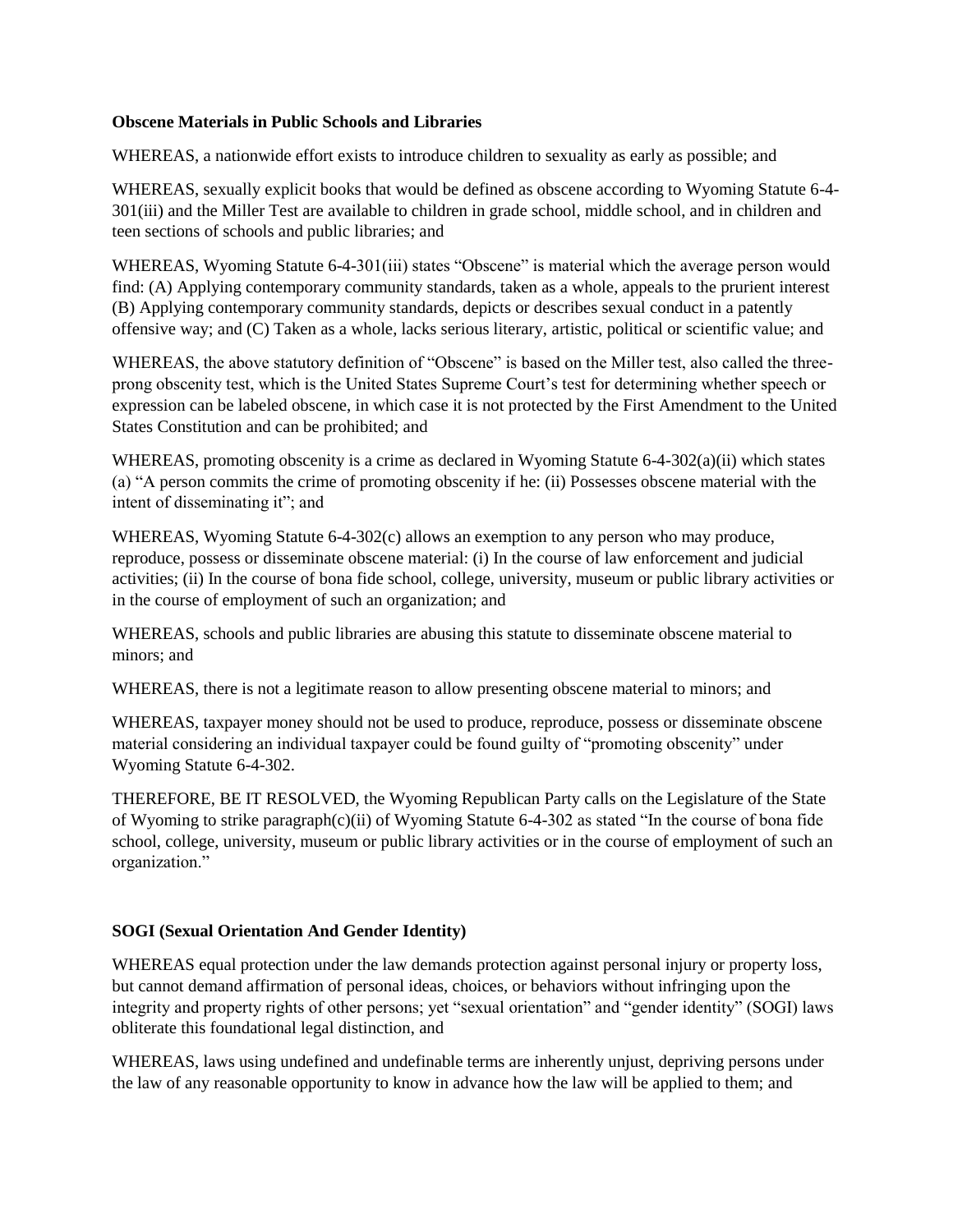## **Obscene Materials in Public Schools and Libraries**

WHEREAS, a nationwide effort exists to introduce children to sexuality as early as possible; and

WHEREAS, sexually explicit books that would be defined as obscene according to Wyoming Statute 6-4- 301(iii) and the Miller Test are available to children in grade school, middle school, and in children and teen sections of schools and public libraries; and

WHEREAS, Wyoming Statute 6-4-301(iii) states "Obscene" is material which the average person would find: (A) Applying contemporary community standards, taken as a whole, appeals to the prurient interest (B) Applying contemporary community standards, depicts or describes sexual conduct in a patently offensive way; and (C) Taken as a whole, lacks serious literary, artistic, political or scientific value; and

WHEREAS, the above statutory definition of "Obscene" is based on the Miller test, also called the threeprong obscenity test, which is the United States Supreme Court's test for determining whether speech or expression can be labeled obscene, in which case it is not protected by the First Amendment to the United States Constitution and can be prohibited; and

WHEREAS, promoting obscenity is a crime as declared in Wyoming Statute 6-4-302(a)(ii) which states (a) "A person commits the crime of promoting obscenity if he: (ii) Possesses obscene material with the intent of disseminating it"; and

WHEREAS, Wyoming Statute 6-4-302(c) allows an exemption to any person who may produce, reproduce, possess or disseminate obscene material: (i) In the course of law enforcement and judicial activities; (ii) In the course of bona fide school, college, university, museum or public library activities or in the course of employment of such an organization; and

WHEREAS, schools and public libraries are abusing this statute to disseminate obscene material to minors; and

WHEREAS, there is not a legitimate reason to allow presenting obscene material to minors; and

WHEREAS, taxpayer money should not be used to produce, reproduce, possess or disseminate obscene material considering an individual taxpayer could be found guilty of "promoting obscenity" under Wyoming Statute 6-4-302.

THEREFORE, BE IT RESOLVED, the Wyoming Republican Party calls on the Legislature of the State of Wyoming to strike paragraph(c)(ii) of Wyoming Statute 6-4-302 as stated "In the course of bona fide school, college, university, museum or public library activities or in the course of employment of such an organization."

## **SOGI (Sexual Orientation And Gender Identity)**

WHEREAS equal protection under the law demands protection against personal injury or property loss, but cannot demand affirmation of personal ideas, choices, or behaviors without infringing upon the integrity and property rights of other persons; yet "sexual orientation" and "gender identity" (SOGI) laws obliterate this foundational legal distinction, and

WHEREAS, laws using undefined and undefinable terms are inherently unjust, depriving persons under the law of any reasonable opportunity to know in advance how the law will be applied to them; and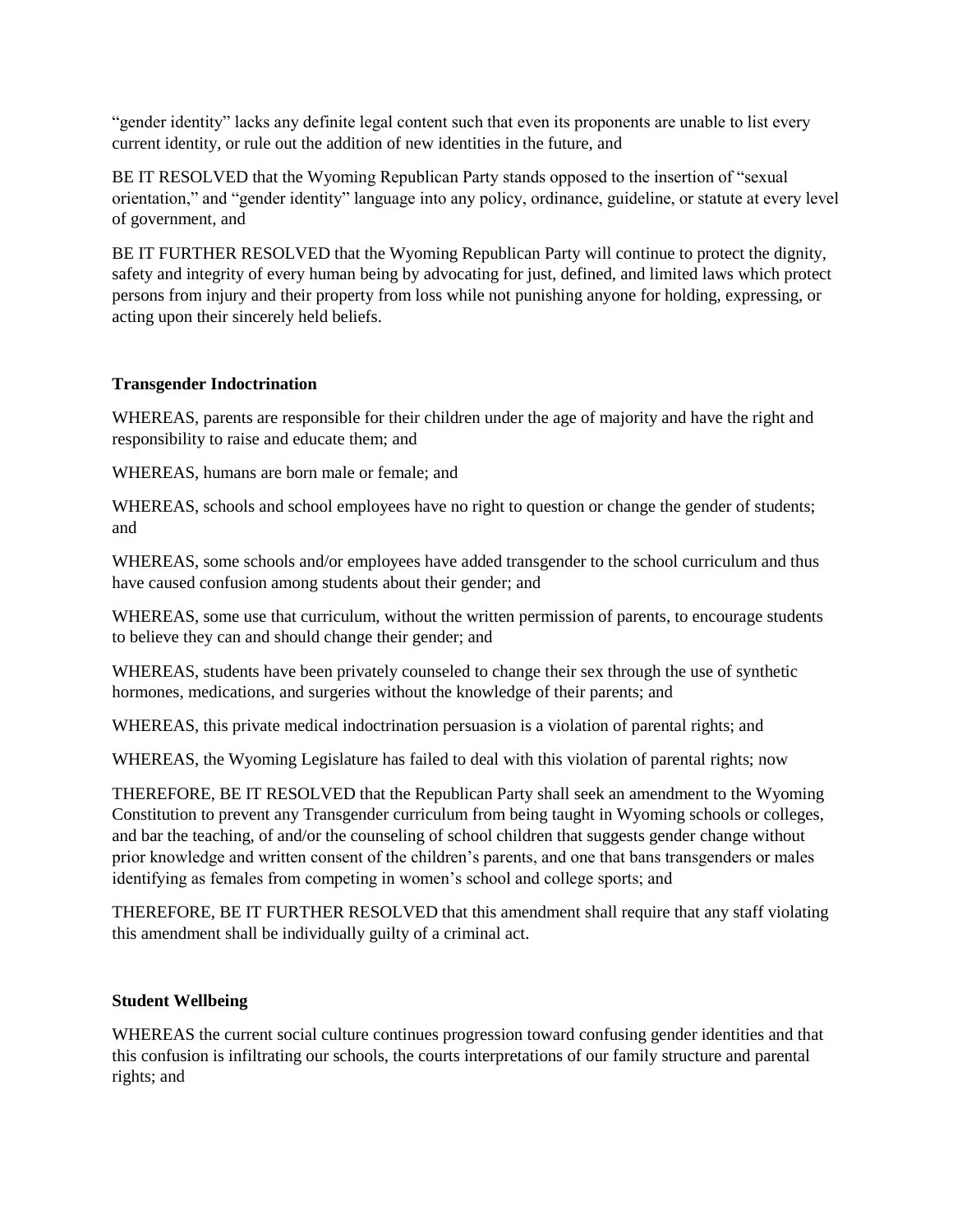"gender identity" lacks any definite legal content such that even its proponents are unable to list every current identity, or rule out the addition of new identities in the future, and

BE IT RESOLVED that the Wyoming Republican Party stands opposed to the insertion of "sexual orientation," and "gender identity" language into any policy, ordinance, guideline, or statute at every level of government, and

BE IT FURTHER RESOLVED that the Wyoming Republican Party will continue to protect the dignity, safety and integrity of every human being by advocating for just, defined, and limited laws which protect persons from injury and their property from loss while not punishing anyone for holding, expressing, or acting upon their sincerely held beliefs.

## **Transgender Indoctrination**

WHEREAS, parents are responsible for their children under the age of majority and have the right and responsibility to raise and educate them; and

WHEREAS, humans are born male or female; and

WHEREAS, schools and school employees have no right to question or change the gender of students; and

WHEREAS, some schools and/or employees have added transgender to the school curriculum and thus have caused confusion among students about their gender; and

WHEREAS, some use that curriculum, without the written permission of parents, to encourage students to believe they can and should change their gender; and

WHEREAS, students have been privately counseled to change their sex through the use of synthetic hormones, medications, and surgeries without the knowledge of their parents; and

WHEREAS, this private medical indoctrination persuasion is a violation of parental rights; and

WHEREAS, the Wyoming Legislature has failed to deal with this violation of parental rights; now

THEREFORE, BE IT RESOLVED that the Republican Party shall seek an amendment to the Wyoming Constitution to prevent any Transgender curriculum from being taught in Wyoming schools or colleges, and bar the teaching, of and/or the counseling of school children that suggests gender change without prior knowledge and written consent of the children's parents, and one that bans transgenders or males identifying as females from competing in women's school and college sports; and

THEREFORE, BE IT FURTHER RESOLVED that this amendment shall require that any staff violating this amendment shall be individually guilty of a criminal act.

## **Student Wellbeing**

WHEREAS the current social culture continues progression toward confusing gender identities and that this confusion is infiltrating our schools, the courts interpretations of our family structure and parental rights; and